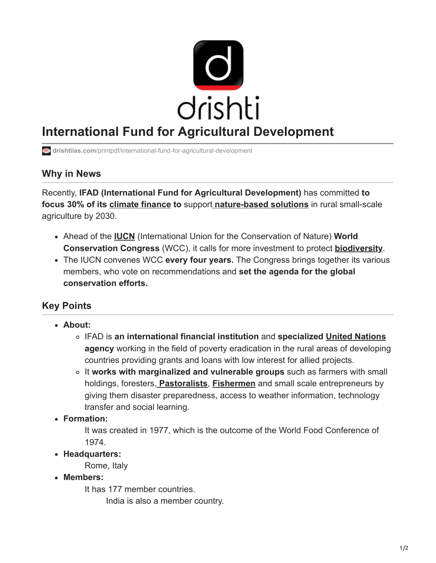

# **International Fund for Agricultural Development**

**drishtiias.com**[/printpdf/international-fund-for-agricultural-development](https://www.drishtiias.com/printpdf/international-fund-for-agricultural-development)

### **Why in News**

Recently, **IFAD (International Fund for Agricultural Development)** has committed **to focus 30% of its [climate finance](https://www.drishtiias.com/daily-updates/daily-news-analysis/climate-finance-3) to** support **[nature-based solutions](https://www.drishtiias.com/daily-updates/daily-news-editorials/nature-based-solutions)** in rural small-scale agriculture by 2030.

- Ahead of the **[IUCN](https://www.drishtiias.com/daily-updates/daily-news-analysis/iucn-red-list)** (International Union for the Conservation of Nature) **World Conservation Congress** (WCC), it calls for more investment to protect **[biodiversity](https://www.drishtiias.com/upsc-mains-solved-papers/subject/biodiversity%20&%20environment#:~:text=Biodiversity%20is%20defined%20as%20the,elements%20from%20each%20of%20them.)**.
- The IUCN convenes WCC **every four years.** The Congress brings together its various members, who vote on recommendations and **set the agenda for the global conservation efforts.**

## **Key Points**

- **About:**
	- IFAD is **an international financial institution** and **specialized [United Nations](https://www.drishtiias.com/important-institutions/drishti-specials-important-institutions-international-institution/united-nations-1) agency** working in the field of poverty eradication in the rural areas of developing countries providing grants and loans with low interest for allied projects.
	- It **works with marginalized and vulnerable groups** such as farmers with small holdings, foresters, **[Pastoralists](https://www.drishtiias.com/daily-updates/daily-news-analysis/ngt-upholds-rights-of-pastoralists-in-banni-grasslands)**, **[Fishermen](https://www.drishtiias.com/daily-updates/daily-news-analysis/world-fisheries-day-1)** and small scale entrepreneurs by giving them disaster preparedness, access to weather information, technology transfer and social learning.
- **Formation:**

It was created in 1977, which is the outcome of the World Food Conference of 1974.

**Headquarters:**

Rome, Italy

**Members:**

It has 177 member countries.

India is also a member country.